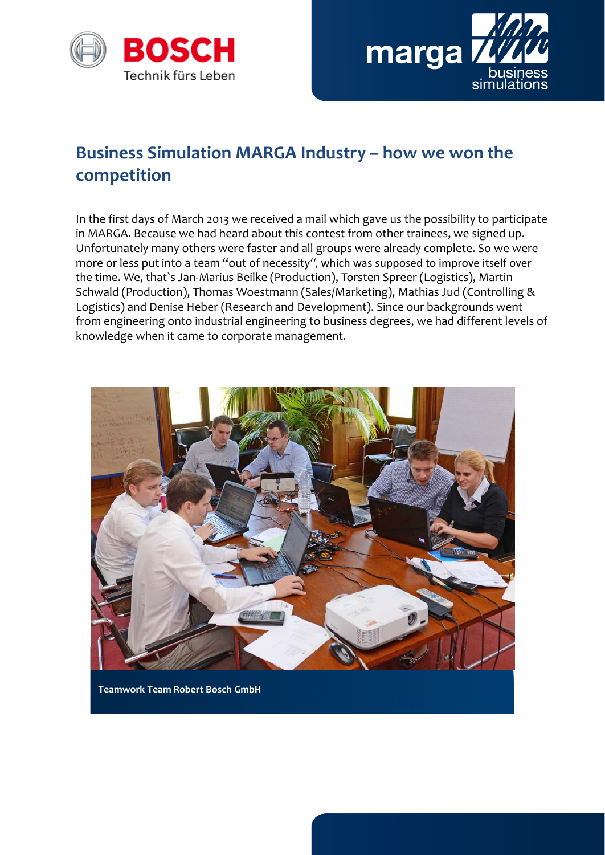



## **Business Simulation MARGA Industry – how we won the competition**

In the first days of March 2013 we received a mail which gave us the possibility to participate in MARGA. Because we had heard about this contest from other trainees, we signed up. Unfortunately many others were faster and all groups were already complete. So we were more or less put into a team ''out of necessity'', which was supposed to improve itself over the time. We, that`s Jan-Marius Beilke (Production), Torsten Spreer (Logistics), Martin Schwald (Production), Thomas Woestmann (Sales/Marketing), Mathias Jud (Controlling & Logistics) and Denise Heber (Research and Development). Since our backgrounds went from engineering onto industrial engineering to business degrees, we had different levels of knowledge when it came to corporate management.



**Teamwork Team Robert Bosch GmbH**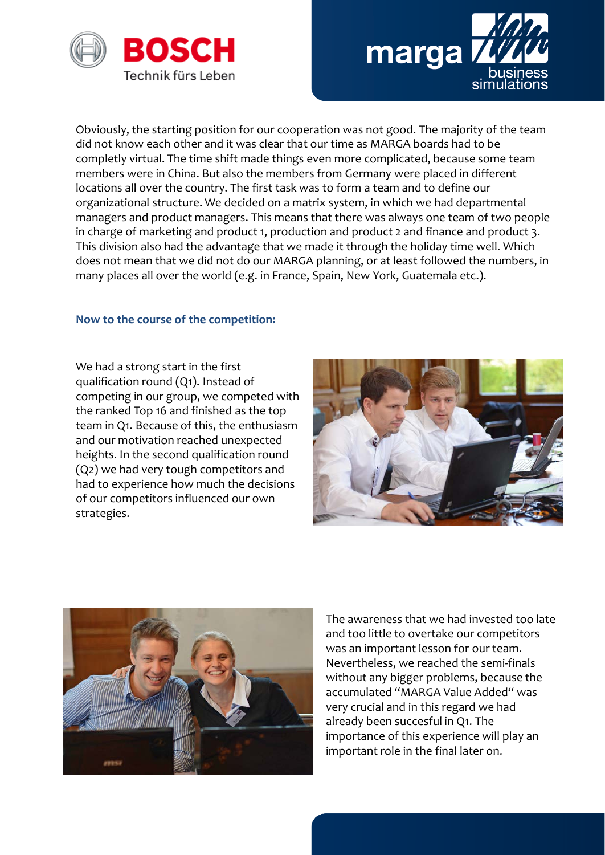



Obviously, the starting position for our cooperation was not good. The majority of the team did not know each other and it was clear that our time as MARGA boards had to be completly virtual. The time shift made things even more complicated, because some team members were in China. But also the members from Germany were placed in different locations all over the country. The first task was to form a team and to define our organizational structure. We decided on a matrix system, in which we had departmental managers and product managers. This means that there was always one team of two people in charge of marketing and product 1, production and product 2 and finance and product 3. This division also had the advantage that we made it through the holiday time well. Which does not mean that we did not do our MARGA planning, or at least followed the numbers, in many places all over the world (e.g. in France, Spain, New York, Guatemala etc.).

## **Now to the course of the competition:**

We had a strong start in the first qualification round (Q1). Instead of competing in our group, we competed with the ranked Top 16 and finished as the top team in Q1. Because of this, the enthusiasm and our motivation reached unexpected heights. In the second qualification round (Q2) we had very tough competitors and had to experience how much the decisions of our competitors influenced our own strategies.





The awareness that we had invested too late and too little to overtake our competitors was an important lesson for our team. Nevertheless, we reached the semi-finals without any bigger problems, because the accumulated ''MARGA Value Added'' was very crucial and in this regard we had already been succesful in Q1. The importance of this experience will play an important role in the final later on.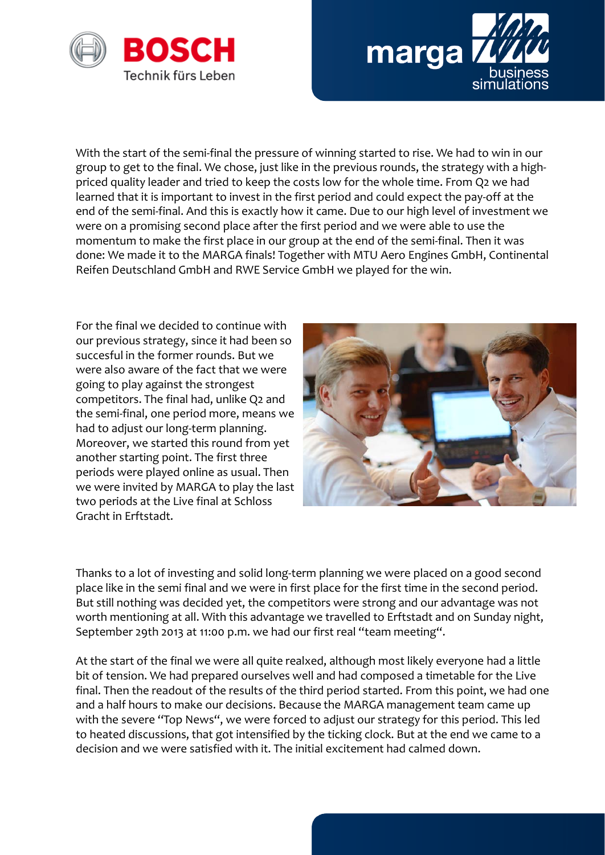



With the start of the semi-final the pressure of winning started to rise. We had to win in our group to get to the final. We chose, just like in the previous rounds, the strategy with a highpriced quality leader and tried to keep the costs low for the whole time. From Q2 we had learned that it is important to invest in the first period and could expect the pay-off at the end of the semi-final. And this is exactly how it came. Due to our high level of investment we were on a promising second place after the first period and we were able to use the momentum to make the first place in our group at the end of the semi-final. Then it was done: We made it to the MARGA finals! Together with MTU Aero Engines GmbH, Continental Reifen Deutschland GmbH and RWE Service GmbH we played for the win.

For the final we decided to continue with our previous strategy, since it had been so succesful in the former rounds. But we were also aware of the fact that we were going to play against the strongest competitors. The final had, unlike Q2 and the semi-final, one period more, means we had to adjust our long-term planning. Moreover, we started this round from yet another starting point. The first three periods were played online as usual. Then we were invited by MARGA to play the last two periods at the Live final at Schloss Gracht in Erftstadt.



Thanks to a lot of investing and solid long-term planning we were placed on a good second place like in the semi final and we were in first place for the first time in the second period. But still nothing was decided yet, the competitors were strong and our advantage was not worth mentioning at all. With this advantage we travelled to Erftstadt and on Sunday night, September 29th 2013 at 11:00 p.m. we had our first real ''team meeting''.

At the start of the final we were all quite realxed, although most likely everyone had a little bit of tension. We had prepared ourselves well and had composed a timetable for the Live final. Then the readout of the results of the third period started. From this point, we had one and a half hours to make our decisions. Because the MARGA management team came up with the severe "Top News", we were forced to adjust our strategy for this period. This led to heated discussions, that got intensified by the ticking clock. But at the end we came to a decision and we were satisfied with it. The initial excitement had calmed down.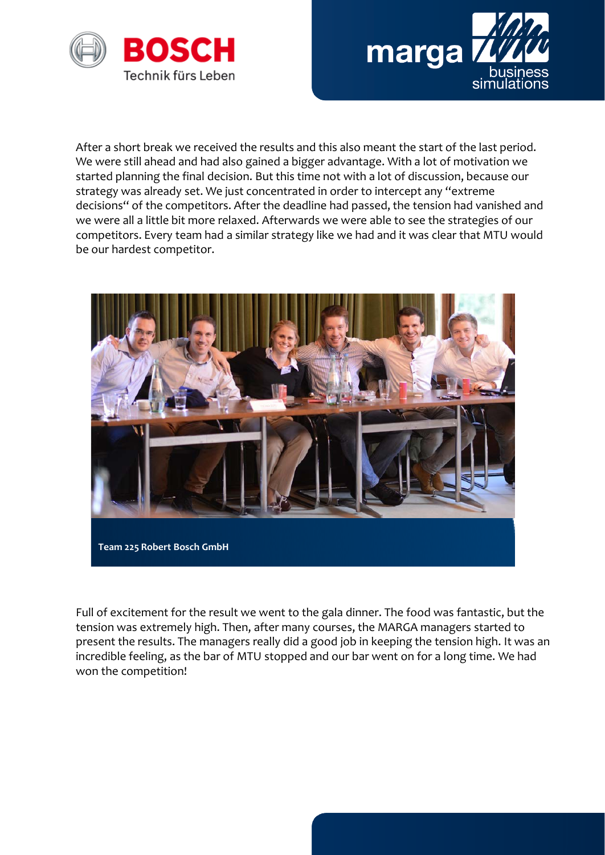



After a short break we received the results and this also meant the start of the last period. We were still ahead and had also gained a bigger advantage. With a lot of motivation we started planning the final decision. But this time not with a lot of discussion, because our strategy was already set. We just concentrated in order to intercept any ''extreme decisions'' of the competitors. After the deadline had passed, the tension had vanished and we were all a little bit more relaxed. Afterwards we were able to see the strategies of our competitors. Every team had a similar strategy like we had and it was clear that MTU would be our hardest competitor.



Full of excitement for the result we went to the gala dinner. The food was fantastic, but the tension was extremely high. Then, after many courses, the MARGA managers started to present the results. The managers really did a good job in keeping the tension high. It was an incredible feeling, as the bar of MTU stopped and our bar went on for a long time. We had won the competition!